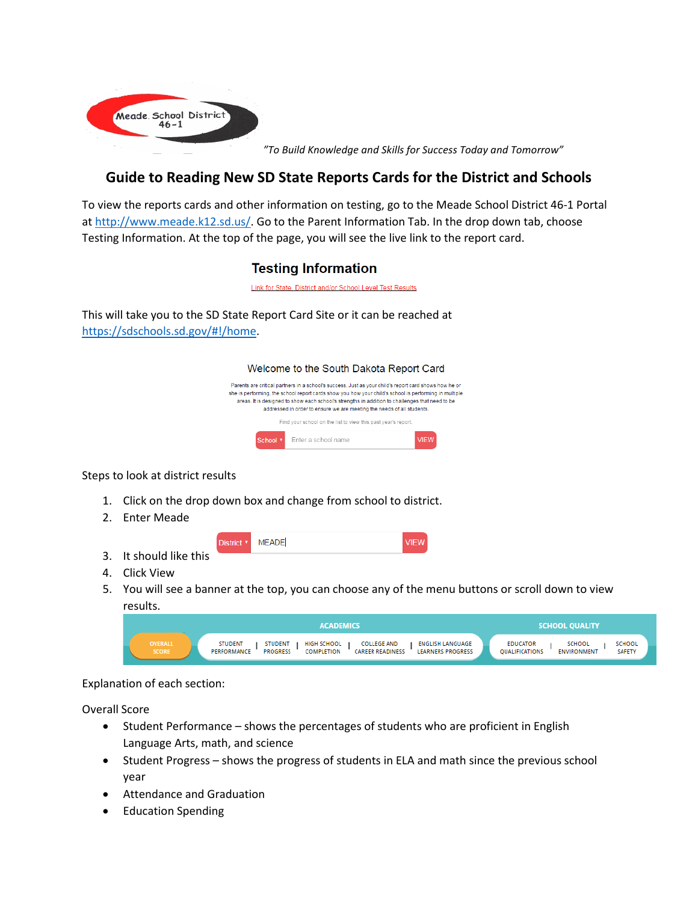

*"To Build Knowledge and Skills for Success Today and Tomorrow"*

## **Guide to Reading New SD State Reports Cards for the District and Schools**

To view the reports cards and other information on testing, go to the Meade School District 46-1 Portal at [http://www.meade.k12.sd.us/.](http://www.meade.k12.sd.us/) Go to the Parent Information Tab. In the drop down tab, choose Testing Information. At the top of the page, you will see the live link to the report card.

## **Testing Information**

Link for State, District and/or School Level Test Results

This will take you to the SD State Report Card Site or it can be reached at [https://sdschools.sd.gov/#!/home.](https://sdschools.sd.gov/#!/home)

| Welcome to the South Dakota Report Card                                                                                                                                                                                                                                                                                                                                                     |     |  |
|---------------------------------------------------------------------------------------------------------------------------------------------------------------------------------------------------------------------------------------------------------------------------------------------------------------------------------------------------------------------------------------------|-----|--|
| Parents are critical partners in a school's success. Just as your child's report card shows how he or<br>she is performing, the school report cards show you how your child's school is performing in multiple<br>areas. It is designed to show each school's strengths in addition to challenges that need to be<br>addressed in order to ensure we are meeting the needs of all students. |     |  |
| Find your school on the list to view this past year's report.                                                                                                                                                                                                                                                                                                                               |     |  |
| Enter a school name<br>School <b>v</b>                                                                                                                                                                                                                                                                                                                                                      | v⊪w |  |

Steps to look at district results

1. Click on the drop down box and change from school to district.

**MEADE** 

District<sup>\*</sup>

- 2. Enter Meade
- 3. It should like this

| <b>VIEV</b> |
|-------------|
|-------------|

- 4. Click View
- 5. You will see a banner at the top, you can choose any of the menu buttons or scroll down to view results.

|                                | <b>ACADEMICS</b>                                                                                                                                                                                               | <b>SCHOOL QUALITY</b>                                                                                             |
|--------------------------------|----------------------------------------------------------------------------------------------------------------------------------------------------------------------------------------------------------------|-------------------------------------------------------------------------------------------------------------------|
| <b>OVERALL</b><br><b>SCORE</b> | <b>COLLEGE AND</b><br><b>STUDENT</b><br>HIGH SCHOOL<br><b>ENGLISH LANGUAGE</b><br><b>STUDENT</b><br><b>PROGRESS</b><br><b>COMPLETION</b><br><b>CAREER READINESS</b><br><b>LEARNERS PROGRESS</b><br>PERFORMANCE | <b>SCHOOL</b><br><b>EDUCATOR</b><br><b>SCHOOL</b><br><b>SAFETY</b><br><b>OUALIFICATIONS</b><br><b>ENVIRONMENT</b> |

Explanation of each section:

Overall Score

- Student Performance shows the percentages of students who are proficient in English Language Arts, math, and science
- Student Progress shows the progress of students in ELA and math since the previous school year
- Attendance and Graduation
- **Education Spending**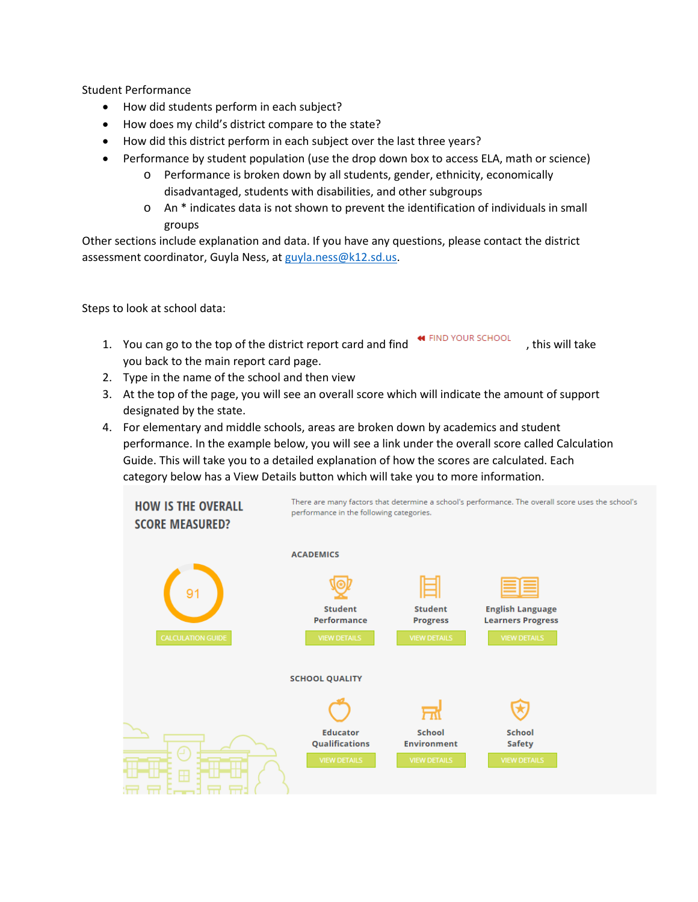Student Performance

- How did students perform in each subject?
- How does my child's district compare to the state?
- How did this district perform in each subject over the last three years?
- Performance by student population (use the drop down box to access ELA, math or science)
	- o Performance is broken down by all students, gender, ethnicity, economically disadvantaged, students with disabilities, and other subgroups
	- $\circ$  An  $*$  indicates data is not shown to prevent the identification of individuals in small groups

Other sections include explanation and data. If you have any questions, please contact the district assessment coordinator, Guyla Ness, at [guyla.ness@k12.sd.us.](mailto:guyla.ness@k12.sd.us)

Steps to look at school data:

- 1. You can go to the top of the district report card and find  $\overline{a}$  FIND YOUR SCHOOL , this will take you back to the main report card page.
- 2. Type in the name of the school and then view
- 3. At the top of the page, you will see an overall score which will indicate the amount of support designated by the state.
- 4. For elementary and middle schools, areas are broken down by academics and student performance. In the example below, you will see a link under the overall score called Calculation Guide. This will take you to a detailed explanation of how the scores are calculated. Each category below has a View Details button which will take you to more information.